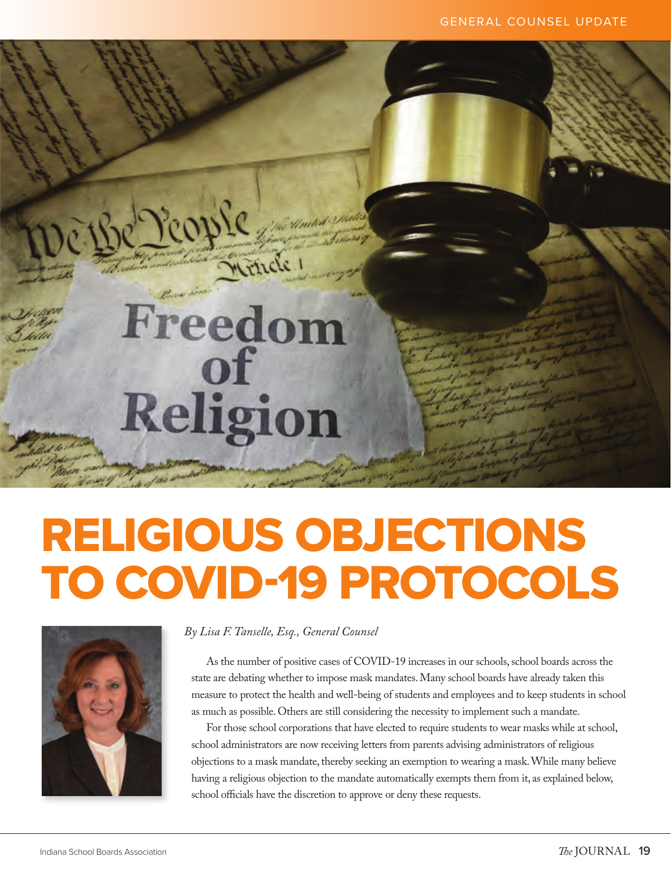# RELIGIOUS OBJECTIONS TO COVID-19 PROTOCOLS



## *By Lisa F. Tanselle, Esq., General Counsel*

People million

Freedon

of

Religion

mencie

As the number of positive cases of COVID-19 increases in our schools, school boards across the state are debating whether to impose mask mandates. Many school boards have already taken this measure to protect the health and well-being of students and employees and to keep students in school as much as possible. Others are still considering the necessity to implement such a mandate.

For those school corporations that have elected to require students to wear masks while at school, school administrators are now receiving letters from parents advising administrators of religious objections to a mask mandate, thereby seeking an exemption to wearing a mask. While many believe having a religious objection to the mandate automatically exempts them from it, as explained below, school officials have the discretion to approve or deny these requests.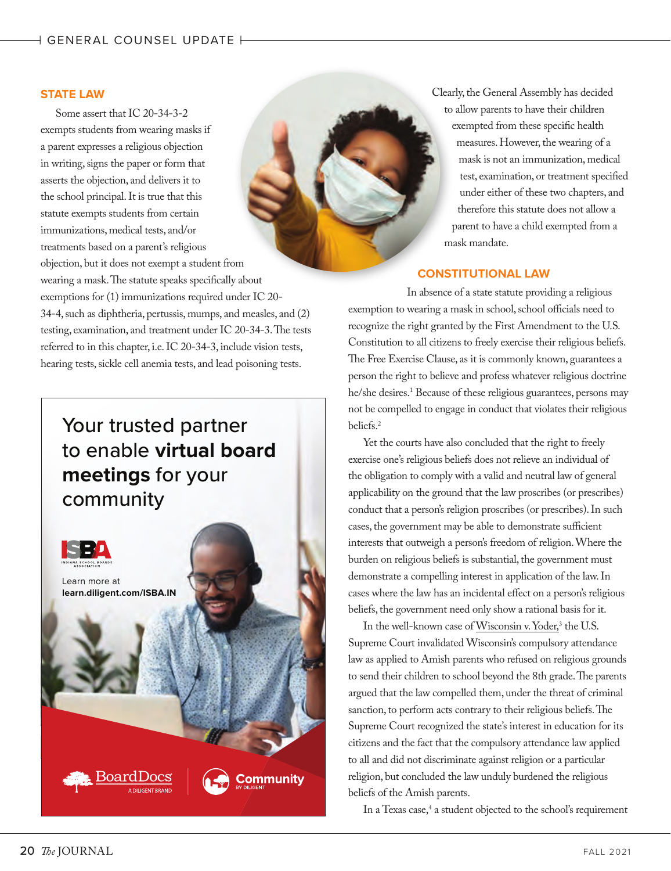### **STATE LAW**

Some assert that IC 20-34-3-2 exempts students from wearing masks if a parent expresses a religious objection in writing, signs the paper or form that asserts the objection, and delivers it to the school principal. It is true that this statute exempts students from certain immunizations, medical tests, and/or treatments based on a parent's religious objection, but it does not exempt a student from wearing a mask. The statute speaks specifically about exemptions for (1) immunizations required under IC 20- 34-4, such as diphtheria, pertussis, mumps, and measles, and (2) testing, examination, and treatment under IC 20-34-3. The tests referred to in this chapter, i.e. IC 20-34-3, include vision tests, hearing tests, sickle cell anemia tests, and lead poisoning tests.

## Your trusted partner to enable **virtual board meetings** for your community



Clearly, the General Assembly has decided to allow parents to have their children exempted from these specific health measures. However, the wearing of a mask is not an immunization, medical test, examination, or treatment specified under either of these two chapters, and therefore this statute does not allow a parent to have a child exempted from a mask mandate.

## **CONSTITUTIONAL LAW**

In absence of a state statute providing a religious exemption to wearing a mask in school, school officials need to recognize the right granted by the First Amendment to the U.S. Constitution to all citizens to freely exercise their religious beliefs. The Free Exercise Clause, as it is commonly known, guarantees a person the right to believe and profess whatever religious doctrine he/she desires.1 Because of these religious guarantees, persons may not be compelled to engage in conduct that violates their religious beliefs.2

Yet the courts have also concluded that the right to freely exercise one's religious beliefs does not relieve an individual of the obligation to comply with a valid and neutral law of general applicability on the ground that the law proscribes (or prescribes) conduct that a person's religion proscribes (or prescribes). In such cases, the government may be able to demonstrate sufficient interests that outweigh a person's freedom of religion. Where the burden on religious beliefs is substantial, the government must demonstrate a compelling interest in application of the law. In cases where the law has an incidental effect on a person's religious beliefs, the government need only show a rational basis for it.

In the well-known case of <u>Wisconsin v. Yoder</u>,<sup>3</sup> the U.S. Supreme Court invalidated Wisconsin's compulsory attendance law as applied to Amish parents who refused on religious grounds to send their children to school beyond the 8th grade. The parents argued that the law compelled them, under the threat of criminal sanction, to perform acts contrary to their religious beliefs. The Supreme Court recognized the state's interest in education for its citizens and the fact that the compulsory attendance law applied to all and did not discriminate against religion or a particular religion, but concluded the law unduly burdened the religious beliefs of the Amish parents.

In a Texas case,<sup>4</sup> a student objected to the school's requirement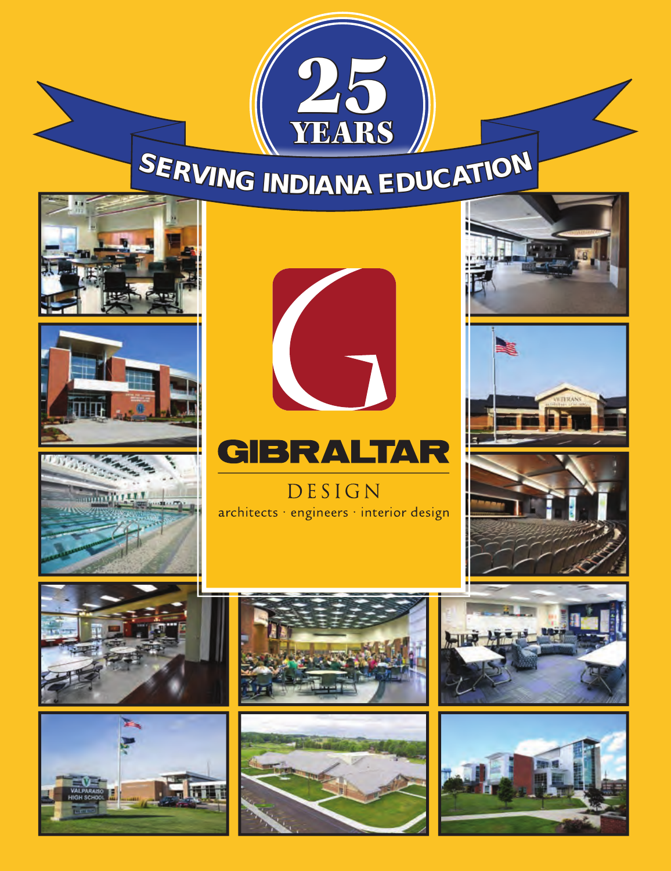

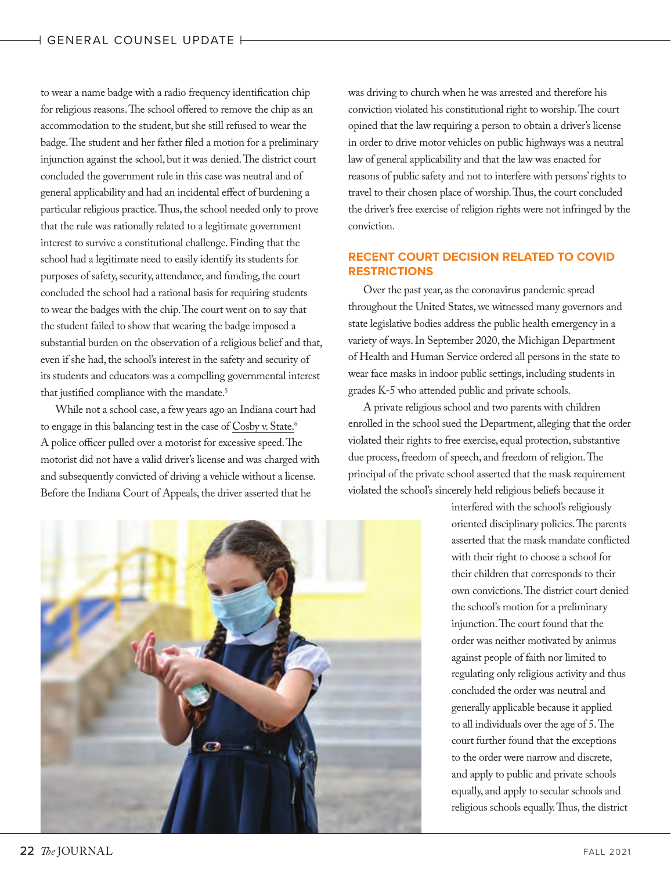to wear a name badge with a radio frequency identification chip for religious reasons. The school offered to remove the chip as an accommodation to the student, but she still refused to wear the badge. The student and her father filed a motion for a preliminary injunction against the school, but it was denied. The district court concluded the government rule in this case was neutral and of general applicability and had an incidental effect of burdening a particular religious practice. Thus, the school needed only to prove that the rule was rationally related to a legitimate government interest to survive a constitutional challenge. Finding that the school had a legitimate need to easily identify its students for purposes of safety, security, attendance, and funding, the court concluded the school had a rational basis for requiring students to wear the badges with the chip. The court went on to say that the student failed to show that wearing the badge imposed a substantial burden on the observation of a religious belief and that, even if she had, the school's interest in the safety and security of its students and educators was a compelling governmental interest that justified compliance with the mandate.<sup>5</sup>

While not a school case, a few years ago an Indiana court had to engage in this balancing test in the case of Cosby v. State.<sup>6</sup> A police officer pulled over a motorist for excessive speed. The motorist did not have a valid driver's license and was charged with and subsequently convicted of driving a vehicle without a license. Before the Indiana Court of Appeals, the driver asserted that he

was driving to church when he was arrested and therefore his conviction violated his constitutional right to worship. The court opined that the law requiring a person to obtain a driver's license in order to drive motor vehicles on public highways was a neutral law of general applicability and that the law was enacted for reasons of public safety and not to interfere with persons' rights to travel to their chosen place of worship. Thus, the court concluded the driver's free exercise of religion rights were not infringed by the conviction.

## **RECENT COURT DECISION RELATED TO COVID RESTRICTIONS**

Over the past year, as the coronavirus pandemic spread throughout the United States, we witnessed many governors and state legislative bodies address the public health emergency in a variety of ways. In September 2020, the Michigan Department of Health and Human Service ordered all persons in the state to wear face masks in indoor public settings, including students in grades K-5 who attended public and private schools.

A private religious school and two parents with children enrolled in the school sued the Department, alleging that the order violated their rights to free exercise, equal protection, substantive due process, freedom of speech, and freedom of religion. The principal of the private school asserted that the mask requirement violated the school's sincerely held religious beliefs because it



interfered with the school's religiously oriented disciplinary policies. The parents asserted that the mask mandate conflicted with their right to choose a school for their children that corresponds to their own convictions. The district court denied the school's motion for a preliminary injunction. The court found that the order was neither motivated by animus against people of faith nor limited to regulating only religious activity and thus concluded the order was neutral and generally applicable because it applied to all individuals over the age of 5. The court further found that the exceptions to the order were narrow and discrete, and apply to public and private schools equally, and apply to secular schools and religious schools equally. Thus, the district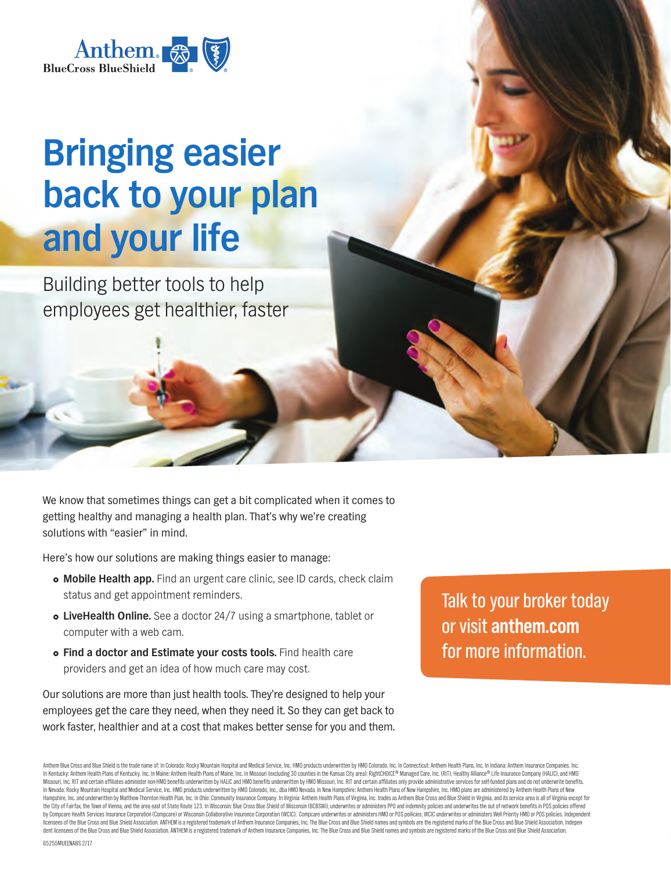

## **Bringing easier back to your plan and your life**

Building better tools to help employees get healthier, faster

We know that sometimes things can get a bit complicated when it comes to getting healthy and managing a health plan. That's why we're creating solutions with "easier" in mind.

Here's how our solutions are making things easier to manage:

- **Mobile Health app.** Find an urgent care clinic, see ID cards, check claim status and get appointment reminders.
- **LiveHealth Online.** See a doctor 24/7 using a smartphone, tablet or computer with a web cam.
- **Find a doctor and Estimate your costs tools.** Find health care providers and get an idea of how much care may cost.

Our solutions are more than just health tools. They're designed to help your employees get the care they need, when they need it. So they can get back to work faster, healthier and at a cost that makes better sense for you and them. Talk to your broker today or visit **anthem.com** for more information.

Anthem Blue Cross and Blue Shield is the trade name of: In Colorado: Rocky Mountain Hospital and Medical Service, Inc. HMO products underwritten by HMO Colorado, Inc. In Connecticut: Anthem Health Plans, Inc. In Indiana: A In Kentucky: Anthem Health Plans of Kentucky, Inc. In Maine: Anthem Health Plans of Maine, Inc. In Missouri (excluding 30 counties in the Kansas City area): RightCHOICE® Managed Care, Inc. (RIT), Healthy Alliance® Life Ins Missouri, Inc. RIT and certain affiliates administer non-HMO benefits underwritten by HALIC and HMO benefits underwritten by HMO Missouri, Inc. RIT and certain affiliates only provide administrative services for self-funde In Nevada: Rocky Mountain Hospital and Medical Service, Inc. HMO products underwritten by HMO Colorado, Inc., dba HMO Nevada. In New Hampshire: Anthem Health Plans of New Hampshire, Inc. HMO plans are administered by Anthe Hampshire, Inc. and underwritten by Matthew Thornton Health Plan, Inc. In Ohio: Community Insurance Company. In Virginia: Anthem Health Plans of Virginia, Inc. trades as Anthem Blue Cross and Blue Shield in Virginia, and i the City of Fairfax, the Town of Vienna, and the area east of State Route 123. In Wisconsin: Blue Cross Blue Shield of Wisconsin (BCBSW), underwrites or administers PPO and indemnity policies and underwrites the out of net by Compcare Health Services Insurance Corporation (Compcare) or Wisconsin Collaborative Insurance Corporation (WCIC). Compcare underwrites or administers HMO or PDS policies, WCIC underwrites or administers Health Services licensees of the Blue Cross and Blue Shield Association. ANTHEM is a registered trademark of Anthern insurance Companies, Inc. The Blue Cross and Blue Shield names and symbols are the registered marks of the Blue Cross and dent licensees of the Blue Cross and Blue Shield Association. ANTHEM is a registered trademark of Anthem Insurance Companies, Inc. The Blue Cross and Blue Shield names and symbols are registered marks of the Blue Cross and